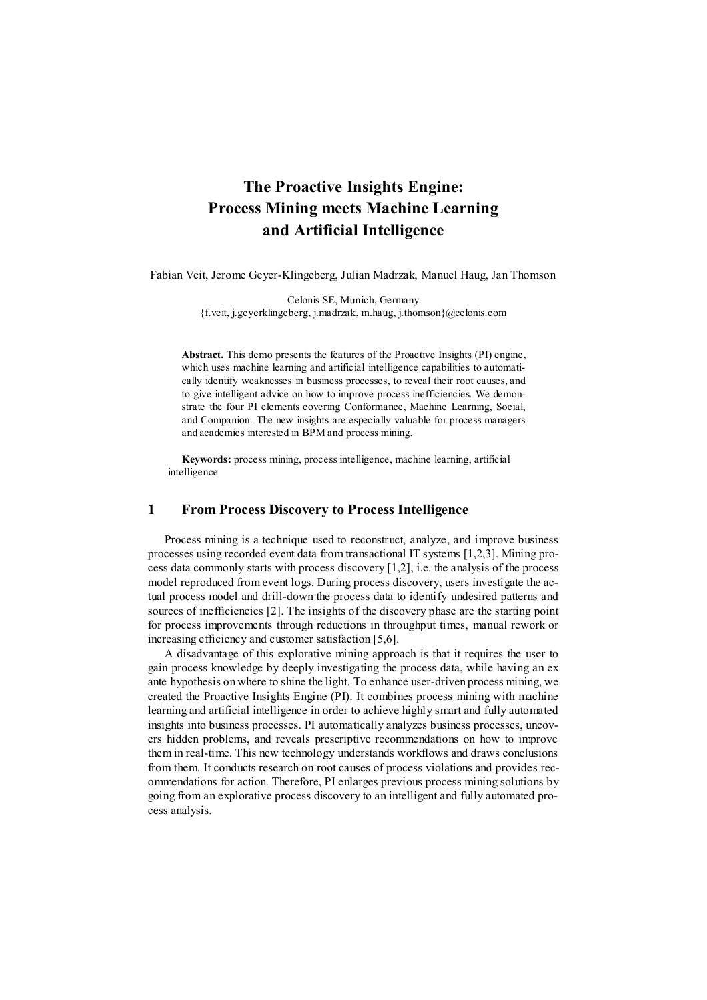# **The Proactive Insights Engine: Process Mining meets Machine Learning and Artificial Intelligence**

Fabian Veit, Jerome Geyer-Klingeberg, Julian Madrzak, Manuel Haug, Jan Thomson

Celonis SE, Munich, Germany {f.veit, j.geyerklingeberg, j.madrzak, m.haug, j.thomson}@celonis.com

**Abstract.** This demo presents the features of the Proactive Insights (PI) engine, which uses machine learning and artificial intelligence capabilities to automatically identify weaknesses in business processes, to reveal their root causes, and to give intelligent advice on how to improve process inefficiencies. We demonstrate the four PI elements covering Conformance, Machine Learning, Social, and Companion. The new insights are especially valuable for process managers and academics interested in BPM and process mining.

**Keywords:** process mining, process intelligence, machine learning, artificial intelligence

#### **1 From Process Discovery to Process Intelligence**

Process mining is a technique used to reconstruct, analyze, and improve business processes using recorded event data from transactional IT systems [1,2,3]. Mining process data commonly starts with process discovery [1,2], i.e. the analysis of the process model reproduced from event logs. During process discovery, users investigate the actual process model and drill-down the process data to identify undesired patterns and sources of inefficiencies [2]. The insights of the discovery phase are the starting point for process improvements through reductions in throughput times, manual rework or increasing efficiency and customer satisfaction [5,6].

A disadvantage of this explorative mining approach is that it requires the user to gain process knowledge by deeply investigating the process data, while having an ex ante hypothesis on where to shine the light. To enhance user-driven process mining, we created the Proactive Insights Engine (PI). It combines process mining with machine learning and artificial intelligence in order to achieve highly smart and fully automated insights into business processes. PI automatically analyzes business processes, uncovers hidden problems, and reveals prescriptive recommendations on how to improve them in real-time. This new technology understands workflows and draws conclusions from them. It conducts research on root causes of process violations and provides recommendations for action. Therefore, PI enlarges previous process mining solutions by going from an explorative process discovery to an intelligent and fully automated process analysis.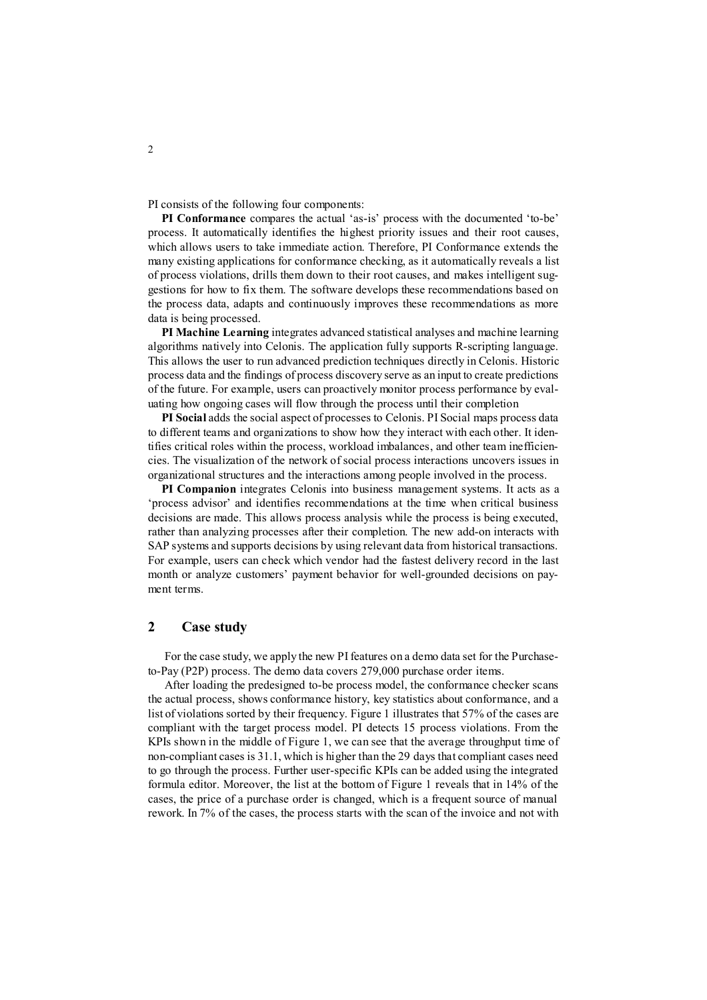PI consists of the following four components:

**PI Conformance** compares the actual 'as-is' process with the documented 'to-be' process. It automatically identifies the highest priority issues and their root causes, which allows users to take immediate action. Therefore, PI Conformance extends the many existing applications for conformance checking, as it automatically reveals a list of process violations, drills them down to their root causes, and makes intelligent suggestions for how to fix them. The software develops these recommendations based on the process data, adapts and continuously improves these recommendations as more data is being processed.

**PI Machine Learning** integrates advanced statistical analyses and machine learning algorithms natively into Celonis. The application fully supports R-scripting language. This allows the user to run advanced prediction techniques directly in Celonis. Historic process data and the findings of process discovery serve as an input to create predictions of the future. For example, users can proactively monitor process performance by evaluating how ongoing cases will flow through the process until their completion

**PI Social** adds the social aspect of processes to Celonis. PI Social maps process data to different teams and organizations to show how they interact with each other. It identifies critical roles within the process, workload imbalances, and other team inefficiencies. The visualization of the network of social process interactions uncovers issues in organizational structures and the interactions among people involved in the process.

**PI Companion** integrates Celonis into business management systems. It acts as a 'process advisor' and identifies recommendations at the time when critical business decisions are made. This allows process analysis while the process is being executed, rather than analyzing processes after their completion. The new add-on interacts with SAP systems and supports decisions by using relevant data from historical transactions. For example, users can check which vendor had the fastest delivery record in the last month or analyze customers' payment behavior for well-grounded decisions on payment terms.

#### **2 Case study**

For the case study, we apply the new PI features on a demo data set for the Purchaseto-Pay (P2P) process. The demo data covers 279,000 purchase order items.

After loading the predesigned to-be process model, the conformance checker scans the actual process, shows conformance history, key statistics about conformance, and a list of violations sorted by their frequency. Figure 1 illustrates that 57% of the cases are compliant with the target process model. PI detects 15 process violations. From the KPIs shown in the middle of Figure 1, we can see that the average throughput time of non-compliant cases is 31.1, which is higher than the 29 days that compliant cases need to go through the process. Further user-specific KPIs can be added using the integrated formula editor. Moreover, the list at the bottom of Figure 1 reveals that in 14% of the cases, the price of a purchase order is changed, which is a frequent source of manual rework. In 7% of the cases, the process starts with the scan of the invoice and not with

2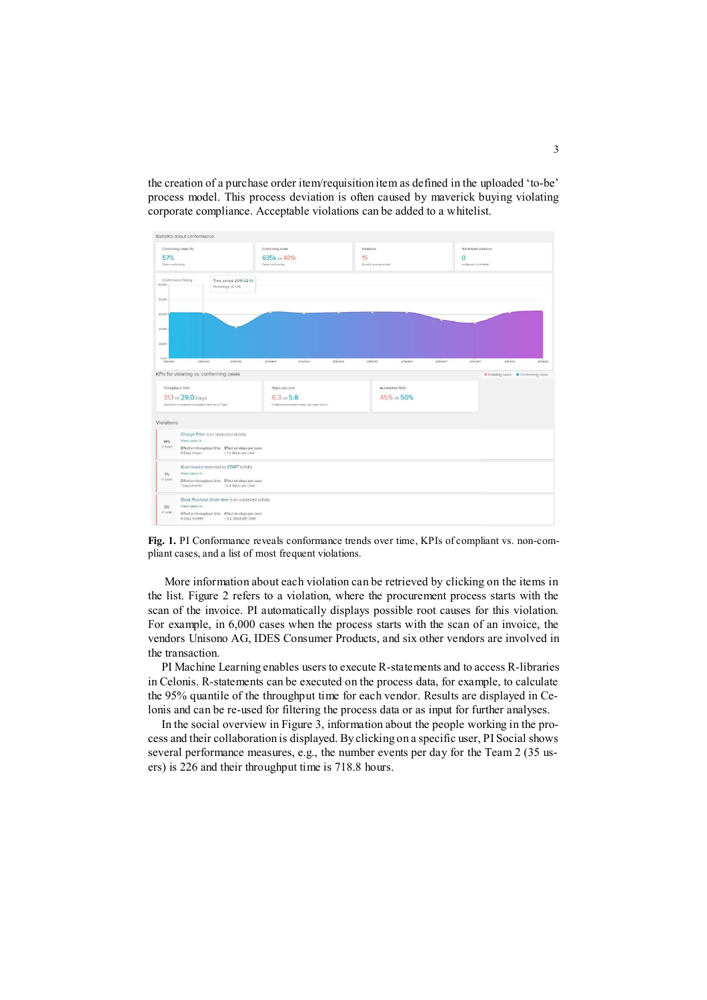the creation of a purchase order item/requisition item as defined in the uploaded 'to-be' process model. This process deviation is often caused by maverick buying violating corporate compliance. Acceptable violations can be added to a whitelist.



**Fig. 1.** PI Conformance reveals conformance trends over time, KPIs of compliant vs. non-compliant cases, and a list of most frequent violations.

More information about each violation can be retrieved by clicking on the items in the list. Figure 2 refers to a violation, where the procurement process starts with the scan of the invoice. PI automatically displays possible root causes for this violation. For example, in 6,000 cases when the process starts with the scan of an invoice, the vendors Unisono AG, IDES Consumer Products, and six other vendors are involved in the transaction.

PI Machine Learning enables users to execute R-statements and to access R-libraries in Celonis. R-statements can be executed on the process data, for example, to calculate the 95% quantile of the throughput time for each vendor. Results are displayed in Celonis and can be re-used for filtering the process data or as input for further analyses.

In the social overview in Figure 3, information about the people working in the process and their collaboration is displayed. By clicking on a specific user, PI Social shows several performance measures, e.g., the number events per day for the Team 2 (35 users) is 226 and their throughput time is 718.8 hours.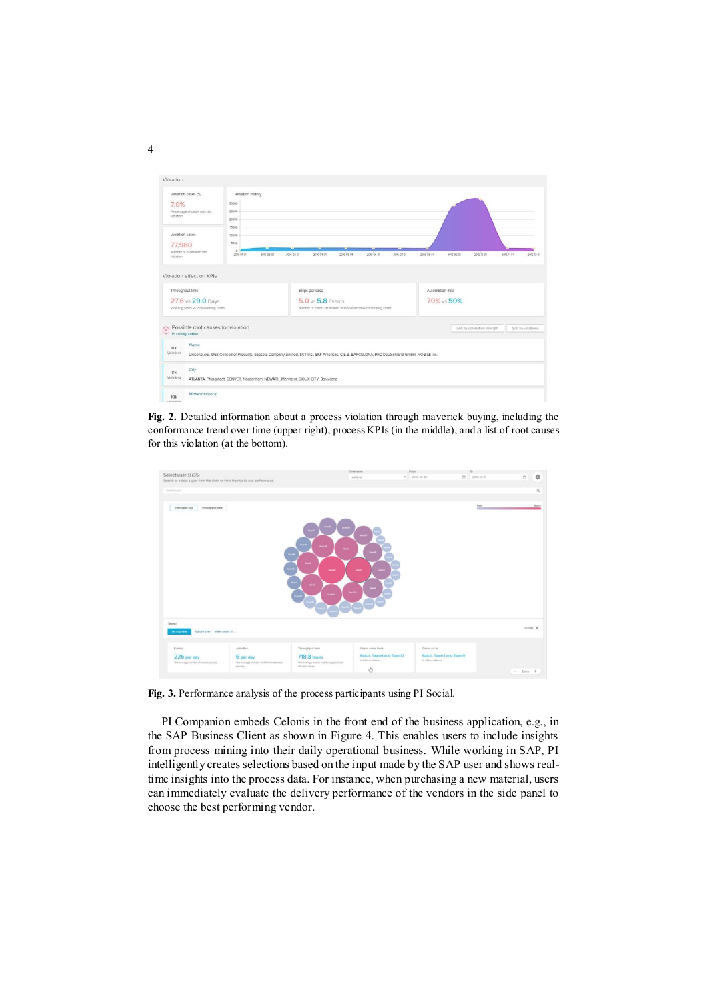| Violation                                                                                                   |                                                                                |                                                                                                                                          |            |                          |                               |            |                    |
|-------------------------------------------------------------------------------------------------------------|--------------------------------------------------------------------------------|------------------------------------------------------------------------------------------------------------------------------------------|------------|--------------------------|-------------------------------|------------|--------------------|
| Violation cases (%)<br>7.0%<br>Percentage of cases with this.<br>violation                                  | Violation history<br>30000<br>25000<br>20000                                   |                                                                                                                                          |            |                          |                               |            |                    |
| Violation cases<br>77,980<br>Number of cases with this<br>viciation                                         | 15000<br>10000<br>5000<br>$\Omega$<br>2016-02-01<br>2016-01-01                 | 2016-03-01<br>2016-04-01<br>2016-05-01                                                                                                   | 10-30-3100 | 2016-07-01<br>2016-08-01 | 2016-09-01<br>2016-10-01      | 2016-11-01 | 2010-12-01         |
| Violation effect on KPIs<br>Throughput time<br>27.6 vs 29.0 Days<br>Violating cases vs. non-violating cases |                                                                                | Steps per case<br>5.0 vs 5.8 Events<br>Number of events performed in this violation vs conforming cases                                  |            |                          | Automotion Rate<br>70% vs 50% |            |                    |
| Possible root causes for violation<br>$\boxed{P}$<br>PI configuration                                       |                                                                                |                                                                                                                                          |            |                          | Sort by correlation strength  |            | Sort by violations |
| Name<br>6k<br>Violations                                                                                    |                                                                                | Unisono AG, IDES Consumer Products, Sapsota Company Limited, SCT Inc., SKF Americas, C.E.B. BARCELONA, PAQ Deutschland GmbH, MOBILE Inc. |            |                          |                               |            |                    |
| City<br>8k<br>Violations                                                                                    | ATLANTA, Pfungstadt, DENVER, Nordenham, NEWARK, Manheim, SIOUX CITY, Barcelona |                                                                                                                                          |            |                          |                               |            |                    |
| Material Group<br>18k<br><b>Materiana</b>                                                                   |                                                                                |                                                                                                                                          |            |                          |                               |            |                    |

**Fig. 2.** Detailed information about a process violation through maverick buying, including the conformance trend over time (upper right), process KPIs (in the middle), and a list of root causes for this violation (at the bottom).

| Select user(s) (35)                                                        |                                                        |                                                           | Timefreme<br>All lime                           | From:<br>$+ 1016-06-30$                        | To<br>$\sim$<br>2016-12-31 | $\overline{\Box}$ | 券        |
|----------------------------------------------------------------------------|--------------------------------------------------------|-----------------------------------------------------------|-------------------------------------------------|------------------------------------------------|----------------------------|-------------------|----------|
| Search or select a user from the chart to view their tasks and performance |                                                        |                                                           |                                                 |                                                |                            |                   |          |
| <b>Sales Europe</b>                                                        |                                                        |                                                           |                                                 |                                                |                            |                   | $\alpha$ |
|                                                                            |                                                        |                                                           |                                                 |                                                |                            |                   |          |
| Throughput time<br>Events per day                                          |                                                        |                                                           |                                                 |                                                | Few<br>m                   |                   | Many     |
|                                                                            |                                                        | Seen !!<br><b>Section</b><br>-<br>÷                       | ÷                                               |                                                |                            |                   |          |
| Ignore user View cases in<br><b>Go to profile</b>                          |                                                        | $\overline{\phantom{a}}$<br>منو<br><b>HANT</b>            | $\overline{\phantom{a}}$<br>فلملبأ              |                                                |                            | ciose X           |          |
| Team1                                                                      |                                                        |                                                           |                                                 |                                                |                            |                   |          |
| Events                                                                     | <b>Activities</b>                                      | Throughput time                                           | Cases come from                                 | Cases go to                                    |                            |                   |          |
| 226 per day                                                                | 6 per day                                              | <b>718.8 hours</b>                                        | Batch, Team4 and Team12<br>in £25 of all lines. | Batch, Team3 and Team9<br>11.42% of all times. |                            |                   |          |
| The average number of events per day.                                      | The average number of different activities<br>per say. | The average and to and firmsplayd firm<br>of users views. | ð                                               |                                                |                            | $-2$ ion $+$      |          |

**Fig. 3.** Performance analysis of the process participants using PI Social.

PI Companion embeds Celonis in the front end of the business application, e.g., in the SAP Business Client as shown in Figure 4. This enables users to include insights from process mining into their daily operational business. While working in SAP, PI intelligently creates selections based on the input made by the SAP user and shows realtime insights into the process data. For instance, when purchasing a new material, users can immediately evaluate the delivery performance of the vendors in the side panel to choose the best performing vendor.

4